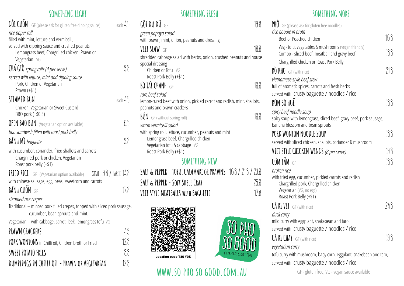#### **SOMETHING LIGHT**

| GỐI CUỒN<br>GF (please ask for gluten free dipping sauce)                    | each $45$ |
|------------------------------------------------------------------------------|-----------|
| rice paper roll                                                              |           |
| filled with mint, lettuce and vermicelli,                                    |           |
| served with dipping sauce and crushed peanuts                                |           |
| Lemongrass beef, Chargrilled chicken, Prawn or<br>Vegetarian VG              |           |
|                                                                              |           |
| CHÁ GIO spring rolls (4 per serve)                                           | 98        |
| served with lettuce, mint and dipping sauce                                  |           |
| Pork, Chicken or Vegetarian<br>Prawn (+\$1)                                  |           |
| STEAMED BUN                                                                  | each $45$ |
| Chicken, Vegetarian or Sweet Custard                                         |           |
| BBQ pork (+\$0.5)                                                            |           |
| <b>OPEN BAO BUN</b> (Vegetarian option available)                            | ჩ5        |
| bao sandwich filled with roast pork belly                                    |           |
| <b>BÁNH MI</b> baguette                                                      | 98        |
| with cucumber, coriander, fried shallots and carrots                         |           |
| Chargrilled pork or chicken, Vegetarian                                      |           |
| Roast pork belly (+\$1)                                                      |           |
| SMALL 9.8 / LARGE 14.8<br><b>FRIED RICE</b> GF (Vegetarian option available) |           |
| with chinese sausage, egg, peas, sweetcorn and carrots                       |           |
| BÁNH CUỐN GF                                                                 | 178       |
| steamed rice crepes                                                          |           |
| Traditional - minced pork filled crepes, topped with sliced pork sausage,    |           |
| cucumber, bean sprouts and mint.                                             |           |
| Vegetarian - with cabbage, carrot, leek, lemongrass tofu VG                  |           |
| PRAWN CRACKERS                                                               | 49        |
| PORK WONTONS in Chilli oil, Chicken broth or Fried                           | 128       |
| <b>SWEET POTATO FRTES</b>                                                    | 88        |
| DUMPLINGS IN CHILLI OIL - PRAWN OR VEGETARIAN                                | 12.8      |

| SOMETHING FRESH                                                                                                                    |      |
|------------------------------------------------------------------------------------------------------------------------------------|------|
| $\operatorname{\widetilde{\mathsf{G}}}$ on di $\operatorname{\widetilde{\mathsf{G}}}$ e di $\operatorname{\widetilde{\mathsf{G}}}$ | 19.8 |
| green papaya salad                                                                                                                 |      |
| with prawn, mint, onion, peanuts and dressing                                                                                      |      |
| VIET SLAW GF                                                                                                                       | 18.8 |
| shredded cabbage salad with herbs, onion, crushed peanuts and house                                                                |      |
| special dressing                                                                                                                   |      |
| Chicken or Tofu VG<br>Roast Pork Belly (+\$1)                                                                                      |      |
|                                                                                                                                    |      |
| <b>BÒ TÁI CHANH</b> GE                                                                                                             | 18.8 |
| rare beef salad                                                                                                                    |      |
| lemon-cured beef with onion, pickled carrot and radish, mint, shallots,<br>peanuts and prawn crackers                              |      |
|                                                                                                                                    |      |
| <b>BÚN</b> GF (without spring roll)                                                                                                | 18.8 |
| warm vermicelli salad                                                                                                              |      |
| with spring roll, lettuce, cucumber, peanuts and mint<br>Lemongrass beef, Chargrilled chicken                                      |      |
| Vegetarian tofu & cabbage VG                                                                                                       |      |
| Roast Pork Belly (+\$1)                                                                                                            |      |
| SOMETHING NEW                                                                                                                      |      |
| TOFIL CALAMARE ON NAMARIC 100 / 210 / 220<br>CAIT O NENNEN                                                                         |      |

**SALT & PEPPER - TOFU, CALAMARi or PRAWNS** 16.8 / 21.8 / 23.8 SALT & PEPPER - SOFT SHELL CRAB 25.8 **VIET STYLE MEATBALLS WITH BAGUETTE** 17.8



# WWW.SO PHO SO GOOD.COM.AU GF-gluten free, VG-vegan sauce available

**VIETNAMESE STREET** 

#### **SOMETHING MORE**

| $PH\vec{0}$ GF (please ask for gluten free noodles)                                                                      |      |
|--------------------------------------------------------------------------------------------------------------------------|------|
| rice noodle in broth                                                                                                     | 168  |
| Beef or Poached chicken                                                                                                  |      |
| Veg - tofu, vegetables & mushrooms (vegan friendly)<br>Combo - sliced beef, meatball and gravy beef                      | 18.8 |
| Chargrilled chicken or Roast Pork Belly                                                                                  |      |
| BO KHO GF (with rice)                                                                                                    | 218  |
| vietnamese-style beef stew                                                                                               |      |
| full of aromatic spices, carrots and fresh herbs                                                                         |      |
| served with: crusty baguette / noodles / rice                                                                            |      |
| BÚN BÒ HUẾ                                                                                                               | 188  |
| spicy beef noodle soup                                                                                                   |      |
| spicy soup with lemongrass, sliced beef, gravy beef, pork sausage,<br>banana blossom and bean sprouts                    |      |
| PORK WONTON NOODLE SOUP                                                                                                  | 188  |
| served with sliced chicken, shallots, coriander & mushroom                                                               |      |
| VIET STYLE CHICKEN WINGS (8 per serve)                                                                                   | 19.8 |
| <b>CƠM TẮM</b> GF                                                                                                        | 18.8 |
| broken rice                                                                                                              |      |
| with fried egg, cucumber, pickled carrots and radish<br>Chargrilled pork, Chargrilled chicken<br>Vegetarian (VG, no egg) |      |
| Roast Pork Belly (+\$1)                                                                                                  |      |
| <b>CÀ RI VIT</b> GF (with rice)                                                                                          | 748  |
| duck curry                                                                                                               |      |
| mild curry with eggplant, snakebean and taro                                                                             |      |
| served with: crusty baguette / noodles / rice                                                                            |      |
| CÀ RI CHAY GF (with rice)                                                                                                | 198  |
| vegetarian curry                                                                                                         |      |
| tofu curry with mushroom, baby corn, eggplant, snakebean and taro,<br>served with: crusty baguette / noodles / rice      |      |